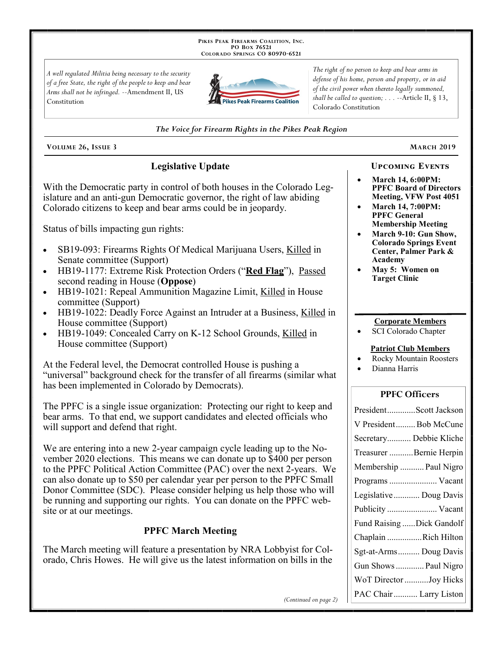PIKES PEAK FIREARMS COALITION, INC. PO Box 76521 COLORADO SPRINGS CO 80970-6521

A well regulated Militia being necessary to the security of a free State, the right of the people to keep and bear Arms shall not be infringed. --Amendment II, US Constitution



The right of no person to keep and bear arms in defense of his home, person and property, or in aid of the civil power when thereto legally summoned, shall be called to question;  $\ldots$  --Article II, § 13, Colorado Constitution

#### The Voice for Firearm Rights in the Pikes Peak Region

VOLUME 26, ISSUE 3

## **Legislative Update**

With the Democratic party in control of both houses in the Colorado Legislature and an anti-gun Democratic governor, the right of law abiding Colorado citizens to keep and bear arms could be in jeopardy.

Status of bills impacting gun rights:

- SB19-093: Firearms Rights Of Medical Marijuana Users, Killed in Senate committee (Support)
- HB19-1177: Extreme Risk Protection Orders ("Red Flag"), Passed second reading in House (Oppose)
- HB19-1021: Repeal Ammunition Magazine Limit, Killed in House  $\bullet$ committee (Support)
- HB19-1022: Deadly Force Against an Intruder at a Business, Killed in  $\bullet$ House committee (Support)
- HB19-1049: Concealed Carry on K-12 School Grounds, Killed in  $\bullet$ House committee (Support)

At the Federal level, the Democrat controlled House is pushing a "universal" background check for the transfer of all firearms (similar what has been implemented in Colorado by Democrats).

The PPFC is a single issue organization: Protecting our right to keep and bear arms. To that end, we support candidates and elected officials who will support and defend that right.

We are entering into a new 2-year campaign cycle leading up to the November 2020 elections. This means we can donate up to \$400 per person to the PPFC Political Action Committee (PAC) over the next 2-years. We can also donate up to \$50 per calendar year per person to the PPFC Small Donor Committee (SDC). Please consider helping us help those who will be running and supporting our rights. You can donate on the PPFC website or at our meetings.

### **PPFC March Meeting**

The March meeting will feature a presentation by NRA Lobbyist for Colorado, Chris Howes. He will give us the latest information on bills in the

# **UPCOMING EVENTS**

**MARCH 2019** 

- **March 14, 6:00PM: PPFC Board of Directors** Meeting, VFW Post 4051
- March 14, 7:00PM: **PPFC General Membership Meeting**
- March 9-10: Gun Show, **Colorado Springs Event** Center, Palmer Park & Academy
- May 5: Women on **Target Clinic**

#### **Corporate Members**

SCI Colorado Chapter

#### **Patriot Club Members**

- **Rocky Mountain Roosters**
- Dianna Harris

### **PPFC Officers**

| PresidentScott Jackson    |
|---------------------------|
| V PresidentBob McCune     |
| Secretary Debbie Kliche   |
| Treasurer Bernie Herpin   |
| Membership  Paul Nigro    |
| Programs  Vacant          |
| Legislative Doug Davis    |
|                           |
| Publicity  Vacant         |
| Fund Raising Dick Gandolf |
| Chaplain Rich Hilton      |
| Sgt-at-Arms Doug Davis    |
| Gun Shows  Paul Nigro     |
| WoT Director Joy Hicks    |

(Continued on page 2)